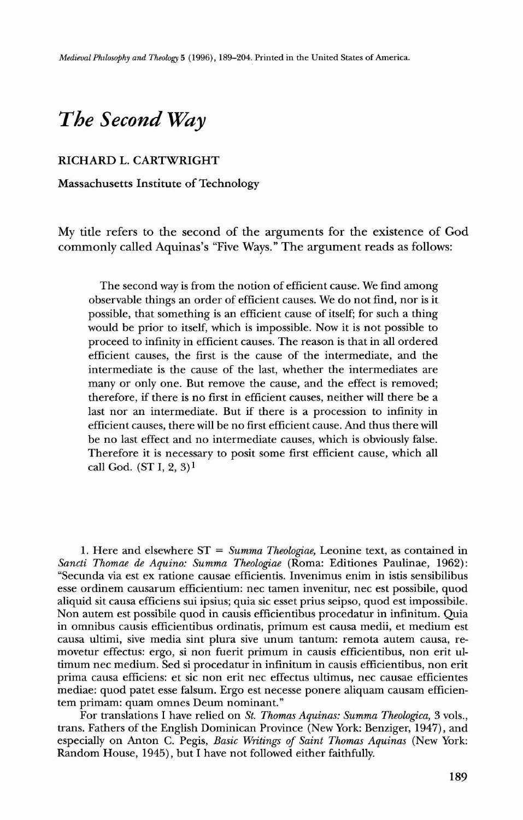# *The Second Way*

#### RICHARD L. CARTWRIGHT

Massachusetts Institute of Technology

My title refers to the second of the arguments for the existence of God commonly called Aquinas's "Five Ways." The argument reads as follows:

The second way is from the notion of efficient cause. We find among observable things an order of efficient causes. We do not find, nor is it possible, that something is an efficient cause of itself; for such a thing would be prior to itself, which is impossible. Now it is not possible to proceed to infinity in efficient causes. The reason is that in all ordered efficient causes, the first is the cause of the intermediate, and the intermediate is the cause of the last, whether the intermediates are many or only one. But remove the cause, and the effect is removed; therefore, if there is no first in efficient causes, neither will there be a last nor an intermediate. But if there is a procession to infinity in efficient causes, there will be no first efficient cause. And thus there will be no last effect and no intermediate causes, which is obviously false. Therefore it is necessary to posit some first efficient cause, which all call God. (ST I, 2, 3)l

1. Here and elsewhere ST = *Summa Theologiae,* Leonine text, as contained in *Sancti Thomae de Aquino: Summa Theologiae* (Roma: Editiones Paulinae, 1962): "Secunda via est ex ratione causae efficientis. Invenimus enim in istis sensibilibus esse ordinem causarum efficientium: nec tamen invenitur, nec est possibile, quod aliquid sit causa efficiens sui ipsius; quia sic esset prius seipso, quod est impossibile. Non autem est possibile quod in causis efficientibus procedatur in infinitum. Quia in omnibus causis efficientibus ordinatis, primum est causa medii, et medium est causa ultimi, sive media sint plura sive unum tantum: remota autem causa, removetur effectus: ergo, si non fuerit primum in causis efficientibus, non erit ultimum nec medium. Sed si procedatur in infinitum in causis efficientibus, non erit prima causa efficiens: et sic non erit nec effectus ultimus, nec causae efficientes mediae: quod patet esse falsum. Ergo est necesse ponere aliquam causam efficientem primam: quam omnes Deum nominant."

For translations I have relied on *St. Thomas Aquinas: Summa Theologica,* 3 vols., trans. Fathers of the English Dominican Province (New York: Benziger, 1947), and especially on Anton C. Pegis, *Basic Writings of Saint Thomas Aquinas* (New York: Random House, 1945), but I have not followed either faithfully.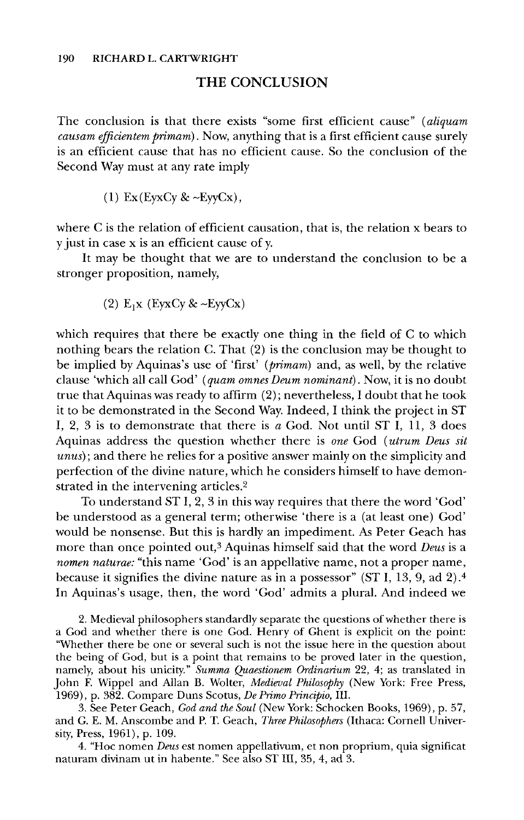## THE CONCLUSION

The conclusion is that there exists "some first efficient cause" *{aliquant causam efficientem primam*). Now, anything that is a first efficient cause surely is an efficient cause that has no efficient cause. So the conclusion of the Second Way must at any rate imply

(1)  $Ex(EyxCy < EyyCx)$ ,

where C is the relation of efficient causation, that is, the relation x bears to yjust in case x is an efficient cause of y.

It may be thought that we are to understand the conclusion to be a stronger proposition, namely,

(2) 
$$
E_1x
$$
 (EyxCy &  $\sim$ EyyCx)

which requires that there be exactly one thing in the field of C to which nothing bears the relation C. That (2) is the conclusion may be thought to be implied by Aquinas's use of 'first' *{pήmam)* and, as well, by the relative clause 'which all call God' *{quam omnesDeum nominant).* Now, it is no doubt true that Aquinas was ready to affirm (2); nevertheless, I doubt that he took it to be demonstrated in the Second Way. Indeed, I think the project in ST I, 2, 3 is to demonstrate that there is *a* God. Not until ST I, 11, 3 does Aquinas address the question whether there is *one* God *{utrum Deus sit* unus); and there he relies for a positive answer mainly on the simplicity and perfection of the divine nature, which he considers himself to have demon strated in the intervening articles.<sup>2</sup>

To understand ST I, 2, 3 in this way requires that there the word 'God' be understood as a general term; otherwise 'there is a (at least one) God' would be nonsense. But this is hardly an impediment. As Peter Geach has more than once pointed out,<sup>3</sup> Aquinas himself said that the word *Deus* is a *nomen naturae:* "this name 'God' is an appellative name, not a proper name, because it signifies the divine nature as in a possessor" (ST I, 13, 9, ad 2).<sup>4</sup> In Aquinas's usage, then, the word 'God' admits a plural. And indeed we

2. Medieval philosophers standardly separate the questions of whether there is a God and whether there is one God. Henry of Ghent is explicit on the point: "Whether there be one or several such is not the issue here in the question about the being of God, but is a point that remains to be proved later in the question, namely, about his unicity." *Summa Quaestionem Ordinaήum* 22, 4; as translated in John F. Wippel and Allan B. Wolter, *Medieval Philosophy* (New York: Free Press, 1969), p. 382. Compare Duns Scotus, *De Pήmo Pήncipio,* III.

3. See Peter Geach, *God and the Soul* (New York: Schocken Books, 1969), p. 57, and G. E. M. Anscombe and P. T. Geach, *Three Philosophers* (Ithaca: Cornell Univer sity, Press, 1961), p. 109.

4. "Hoc nomen *Deus* est nomen appellativum, et non proprium, quia significat naturam divinam ut in habente." See also ST III, 35, 4, ad 3.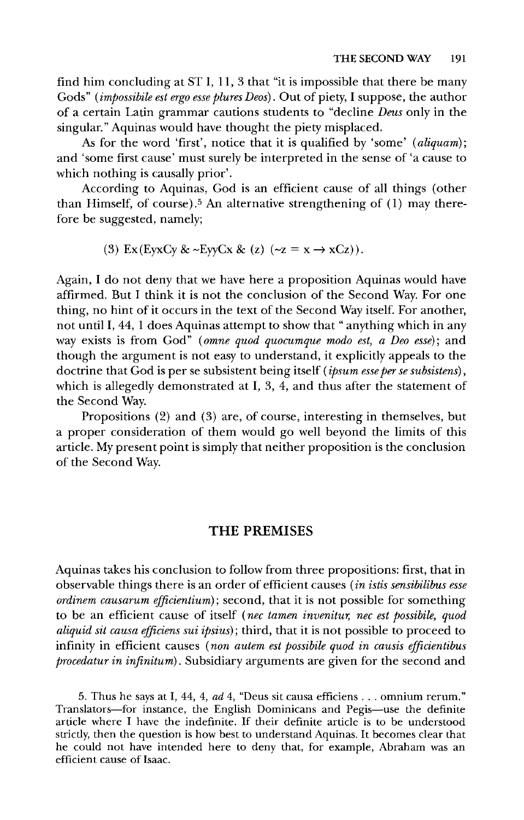find him concluding at ST I, 11, 3 that "it is impossible that there be many Gods" (impossibile est ergo esse plures Deos). Out of piety, I suppose, the author of a certain Latin grammar cautions students to "decline *Deus* only in the singular." Aquinas would have thought the piety misplaced.

As for the word 'first', notice that it is qualified by 'some' *(aliquam);* and 'some first cause' must surely be interpreted in the sense of 'a cause to which nothing is causally prior'.

According to Aquinas, God is an efficient cause of all things (other than Himself, of course).<sup>5</sup> An alternative strengthening of (1) may therefore be suggested, namely;

(3) Ex(EyxCy & ~EyyCx & (z) (~ $z = x \rightarrow xCz$ )).

Again, I do not deny that we have here a proposition Aquinas would have affirmed. But I think it is not the conclusion of the Second Way. For one thing, no hint of it occurs in the text of the Second Way itself. For another, not until I, 44, 1 does Aquinas attempt to show that " anything which in any way exists is from God" *(omne quod quocumque modo est, a Deo esse);* and though the argument is not easy to understand, it explicitly appeals to the doctrine that God is per se subsistent being itself *(ipsum esse per se subsistens)*, which is allegedly demonstrated at I, 3, 4, and thus after the statement of the Second Way.

Propositions (2) and (3) are, of course, interesting in themselves, but a proper consideration of them would go well beyond the limits of this article. My present point is simply that neither proposition is the conclusion of the Second Way.

### THE PREMISES

Aquinas takes his conclusion to follow from three propositions: first, that in observable things there is an order of efficient causes *{in istis sensibilibus esse ordinem causarum efficientium*); second, that it is not possible for something to be an efficient cause of itself *{nee tamen invenitur, nee est possibile, quod aliquid sit causa efficiens sui ipsius)* third, that it is not possible to proceed to infinity in efficient causes *{non autem est possibile quod in causis efficientibus procedatur in infinitum)*. Subsidiary arguments are given for the second and

5. Thus he says at I, 44, 4, *ad* 4, "Deus sit causa efficiens . . . omnium rerum." Translators—for instance, the English Dominicans and Pegis—use the definite article where I have the indefinite. If their definite article is to be understood strictly, then the question is how best to understand Aquinas. It becomes clear that he could not have intended here to deny that, for example, Abraham was an efficient cause of Isaac.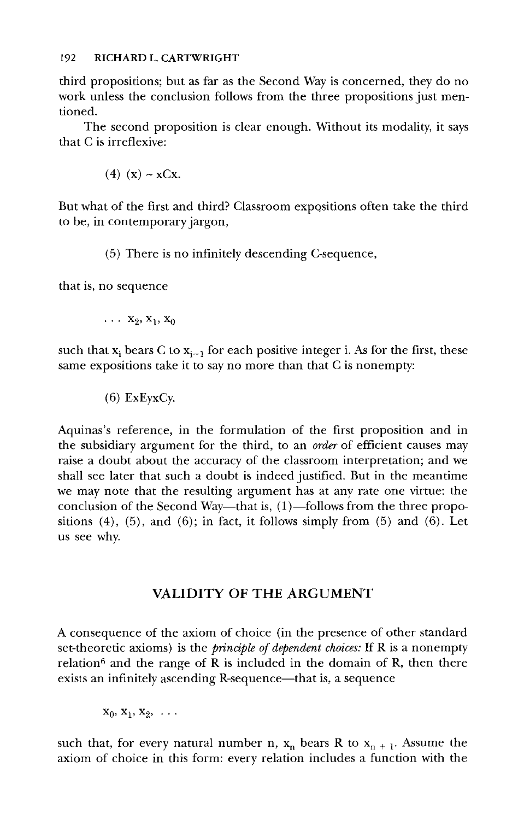third propositions; but as far as the Second Way is concerned, they do no work unless the conclusion follows from the three propositions just men tioned.

The second proposition is clear enough. Without its modality, it says that C is irreflexive:

(4) (x) ~  $xCx$ .

But what of the first and third? Classroom expositions often take the third to be, in contemporary jargon,

(5) There is no infinitely descending C-sequence,

that is, no sequence

 $\ldots$   $X_2$ ,  $X_1$ ,  $X_0$ 

such that  $x_i$  bears C to  $x_{i-1}$  for each positive integer i. As for the first, these same expositions take it to say no more than that C is nonempty:

(6) ExEyxCy.

Aquinas's reference, in the formulation of the first proposition and in the subsidiary argument for the third, to an *order* of efficient causes may raise a doubt about the accuracy of the classroom interpretation; and we shall see later that such a doubt is indeed justified. But in the meantime we may note that the resulting argument has at any rate one virtue: the conclusion of the Second Way—that is, (1)—follows from the three propo sitions  $(4)$ ,  $(5)$ , and  $(6)$ ; in fact, it follows simply from  $(5)$  and  $(6)$ . Let us see why.

## VALIDITY OF THE ARGUMENT

A consequence of the axiom of choice (in the presence of other standard set-theoretic axioms) is the *principle of dependent choices*: If R is a nonempty relation<sup>6</sup> and the range of R is included in the domain of R, then there exists an infinitely ascending R-sequence—that is, a sequence

**x 0 ' <sup>x</sup> l> <sup>X</sup>2>**

such that, for every natural number n,  $x_n$  bears R to  $x_{n+1}$ . Assume the axiom of choice in this form: every relation includes a function with the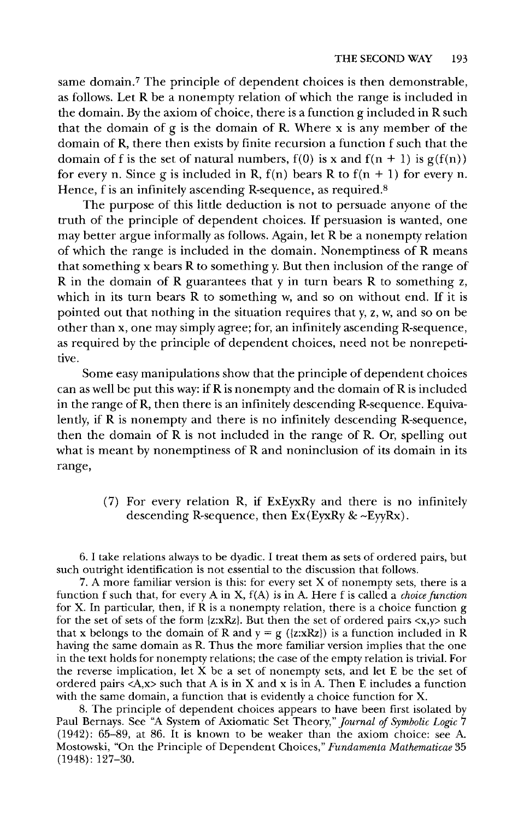same domain.<sup>7</sup> The principle of dependent choices is then demonstrable, as follows. Let R be a nonempty relation of which the range is included in the domain. By the axiom of choice, there is a function g included in R such that the domain of g is the domain of R. Where x is any member of the domain of R, there then exists by finite recursion a function f such that the domain of f is the set of natural numbers,  $f(0)$  is x and  $f(n + 1)$  is  $g(f(n))$ for every n. Since g is included in R,  $f(n)$  bears R to  $f(n + 1)$  for every n. Hence, f is an infinitely ascending R-sequence, as required.<sup>8</sup>

The purpose of this little deduction is not to persuade anyone of the truth of the principle of dependent choices. If persuasion is wanted, one may better argue informally as follows. Again, let  $\overline{R}$  be a nonempty relation of which the range is included in the domain. Nonemptiness of R means that something x bears R to something y. But then inclusion of the range of R in the domain of R guarantees that y in turn bears R to something z, which in its turn bears  $\overline{R}$  to something w, and so on without end. If it is pointed out that nothing in the situation requires that y, z, w, and so on be other than x, one may simply agree; for, an infinitely ascending R-sequence, as required by the principle of dependent choices, need not be nonrepetitive.

Some easy manipulations show that the principle of dependent choices can as well be put this way: if R is nonempty and the domain of R is included in the range of R, then there is an infinitely descending R-sequence. Equivalently, if  $\overline{R}$  is nonempty and there is no infinitely descending R-sequence, then the domain of  $R$  is not included in the range of  $R$ . Or, spelling out what is meant by nonemptiness of R and noninclusion of its domain in its range,

> (7) For every relation R, if ExEyxRy and there is no infinitely descending R-sequence, then  $Ex(EyxRy \& \sim EyyRx)$ .

6.1 take relations always to be dyadic. I treat them as sets of ordered pairs, but such outright identification is not essential to the discussion that follows.

7. A more familiar version is this: for every set X of nonempty sets, there is a function f such that, for every A in X, f (A) is in A. Here f is called a *choice function* for X. In particular, then, if  $\hat{R}$  is a nonempty relation, there is a choice function  $g$ for the set of sets of the form  $\{z:xRz\}$ . But then the set of ordered pairs  $\langle x,y \rangle$  such that x belongs to the domain of R and  $y = g$  ( $(z:xRz)$ ) is a function included in R having the same domain as R. Thus the more familiar version implies that the one in the text holds for nonempty relations; the case of the empty relation is trivial. For the reverse implication, let X be a set of nonempty sets, and let E be the set of ordered pairs  $\angle A$ , x such that A is in X and x is in A. Then E includes a function with the same domain, a function that is evidently a choice function for X.

8. The principle of dependent choices appears to have been first isolated by Paul Bernays. See "A System of Axiomatic Set Theory," *Journal of Symbolic Logic* 7 (1942): 65-89, at 86. It is known to be weaker than the axiom choice: see A. Mostowski, "On the Principle of Dependent Choices," *Fundamenta Mathematicae* 35 (1948): 127-30.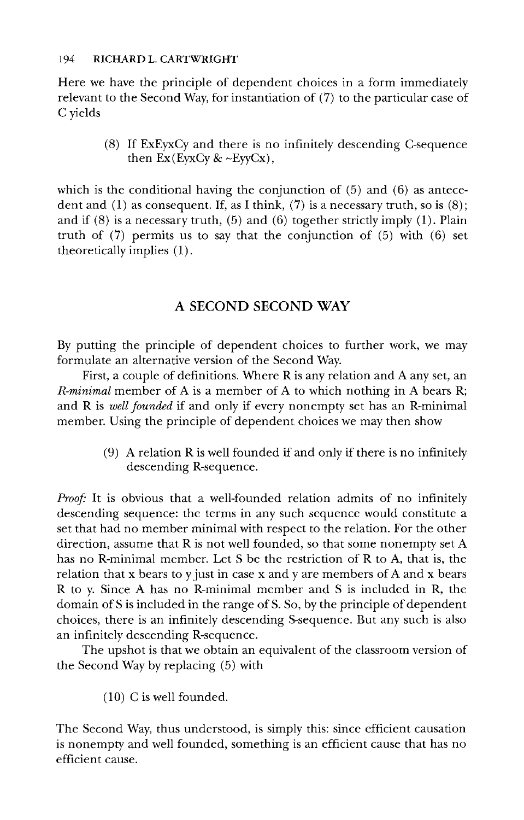Here we have the principle of dependent choices in a form immediately relevant to the Second Way, for instantiation of (7) to the particular case of C yields

> (8) If ExEyxCy and there is no infinitely descending C-sequence then  $\overline{Ex}$ (EyxCy & ~EyyCx),

which is the conditional having the conjunction of (5) and (6) as antecedent and (1) as consequent. If, as I think, (7) is a necessary truth, so is (8); and if (8) is a necessary truth, (5) and (6) together strictly imply (1). Plain truth of  $(7)$  permits us to say that the conjunction of  $(5)$  with  $(6)$  set theoretically implies (1).

## A SECOND SECOND WAY

By putting the principle of dependent choices to further work, we may formulate an alternative version of the Second Way.

First, a couple of definitions. Where R is any relation and A any set, an *R-minimal* member of A is a member of A to which nothing in A bears R; and R is *well founded* if and only if every nonempty set has an R-minimal member. Using the principle of dependent choices we may then show

> (9) A relation R is well founded if and only if there is no infinitely descending R-sequence.

*Proof:* It is obvious that a well-founded relation admits of no infinitely descending sequence: the terms in any such sequence would constitute a set that had no member minimal with respect to the relation. For the other direction, assume that R is not well founded, so that some nonempty set A has no R-minimal member. Let S be the restriction of R to A, that is, the relation that x bears to y just in case x and y are members of A and x bears R to y. Since A has no R-minimal member and S is included in R, the domain of S is included in the range of S. So, by the principle of dependent choices, there is an infinitely descending S-sequence. But any such is also an infinitely descending R-sequence.

The upshot is that we obtain an equivalent of the classroom version of the Second Way by replacing (5) with

(10) C is well founded.

The Second Way, thus understood, is simply this: since efficient causation is nonempty and well founded, something is an efficient cause that has no efficient cause.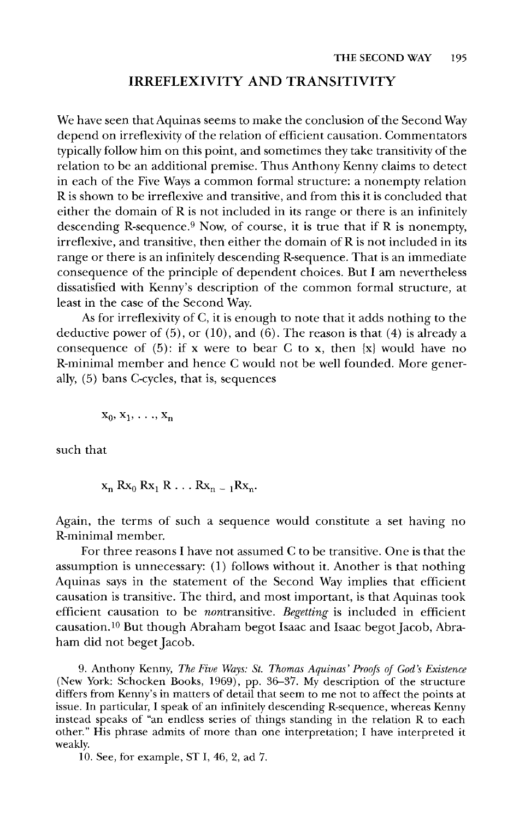#### IRREFLEXIVITY AND TRANSITIVITY

We have seen that Aquinas seems to make the conclusion of the Second Way depend on irreflexivity of the relation of efficient causation. Commentators typically follow him on this point, and sometimes they take transitivity of the relation to be an additional premise. Thus Anthony Kenny claims to detect in each of the Five Ways a common formal structure: a nonempty relation R is shown to be irreflexive and transitive, and from this it is concluded that either the domain of R is not included in its range or there is an infinitely descending R-sequence.<sup>9</sup> Now, of course, it is true that if R is nonempty, irreflexive, and transitive, then either the domain of R is not included in its range or there is an infinitely descending R-sequence. That is an immediate consequence of the principle of dependent choices. But I am nevertheless dissatisfied with Kenny's description of the common formal structure, at least in the case of the Second Way.

As for irreflexivity of C, it is enough to note that it adds nothing to the deductive power of  $(5)$ , or  $(10)$ , and  $(6)$ . The reason is that  $(4)$  is already a consequence of (5): if x were to bear C to x, then  $\{x\}$  would have no R-minimal member and hence C would not be well founded. More generally, (5) bans C-cycles, that is, sequences

 $\mathbf{x}_0, \mathbf{x}_1, \ldots, \mathbf{x}_n$ 

such that

 $x_n Rx_0 Rx_1 R \ldots Rx_{n-1}Rx_n$ .

Again, the terms of such a sequence would constitute a set having no R-minimal member.

For three reasons I have not assumed C to be transitive. One is that the assumption is unnecessary: (1) follows without it. Another is that nothing Aquinas says in the statement of the Second Way implies that efficient causation is transitive. The third, and most important, is that Aquinas took efficient causation to be nontransitive. *Begetting* is included in efficient causation.<sup>10</sup> But though Abraham begot Isaac and Isaac begot Jacob, Abraham did not beget Jacob.

9. Anthony Kenny, *The Five Ways: St. Thomas Aquinas' Proofs of God's Existence* (New York: Schocken Books, 1969), pp. 36–37. My description of the structure differs from Kenny's in matters of detail that seem to me not to affect the points at issue. In particular, I speak of an infinitely descending R-sequence, whereas Kenny instead speaks of "an endless series of things standing in the relation R to each other." His phrase admits of more than one interpretation; I have interpreted it weakly.

10. See, for example, ST I, 46, 2, ad 7.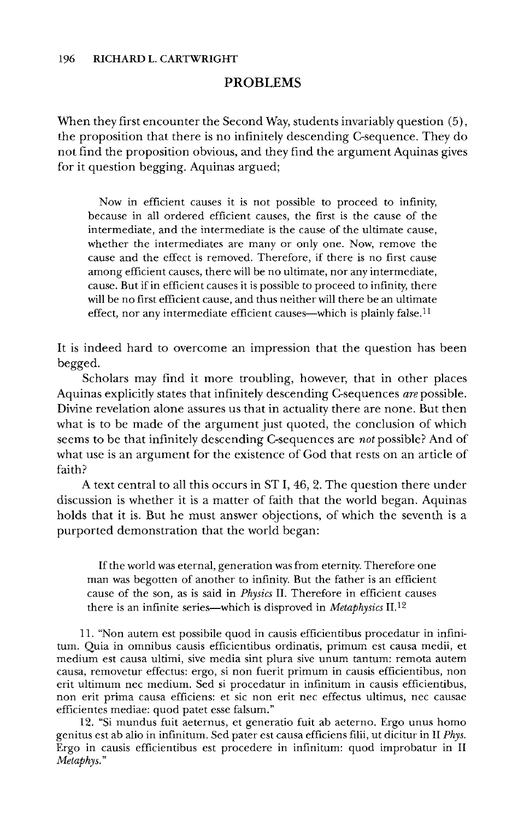#### 196 RICHARD L. CARTWRIGHT

#### **PROBLEMS**

When they first encounter the Second Way, students invariably question (5), the proposition that there is no infinitely descending C-sequence. They do not find the proposition obvious, and they find the argument Aquinas gives for it question begging. Aquinas argued;

Now in efficient causes it is not possible to proceed to infinity, because in all ordered efficient causes, the first is the cause of the intermediate, and the intermediate is the cause of the ultimate cause, whether the intermediates are many or only one. Now, remove the cause and the effect is removed. Therefore, if there is no first cause among efficient causes, there will be no ultimate, nor any intermediate, cause. But if in efficient causes it is possible to proceed to infinity, there will be no first efficient cause, and thus neither will there be an ultimate effect, nor any intermediate efficient causes—which is plainly false.<sup>11</sup>

It is indeed hard to overcome an impression that the question has been begged.

Scholars may find it more troubling, however, that in other places Aquinas explicitly states that infinitely descending C-sequences *are* possible. Divine revelation alone assures us that in actuality there are none. But then what is to be made of the argument just quoted, the conclusion of which seems to be that infinitely descending C-sequences are *not* possible? And of what use is an argument for the existence of God that rests on an article of faith?

A text central to all this occurs in ST I, 46, 2. The question there under discussion is whether it is a matter of faith that the world began. Aquinas holds that it is. But he must answer objections, of which the seventh is a purported demonstration that the world began:

If the world was eternal, generation was from eternity. Therefore one man was begotten of another to infinity. But the father is an efficient cause of the son, as is said in *Physics* II. Therefore in efficient causes there is an infinite series—which is disproved in *Metaphysics* II.<sup>12</sup>

11. "Non autem est possibile quod in causis efficientibus procedatur in infini tum. Quia in omnibus causis efficientibus ordinatis, primum est causa medii, et medium est causa ultimi, sive media sint plura sive unum tantum: remota autem causa, removetur effectus: ergo, si non fuerit primum in causis efficientibus, non erit ultimum nee medium. Sed si procedatur in infinitum in causis efficientibus, non erit prima causa efficiens: et sic non erit nee effectus ultimus, nee causae efficientes mediae: quod patet esse falsum."

12. "Si mundus fuit aeternus, et generatio fuit ab aeterno. Ergo unus homo genitus est ab alio in infinitum. Sed pater est causa efficiens filii, ut dicitur in II *Phys.* Ergo in causis efficientibus est procedere in infinitum: quod improbatur in II *Metaphys.*"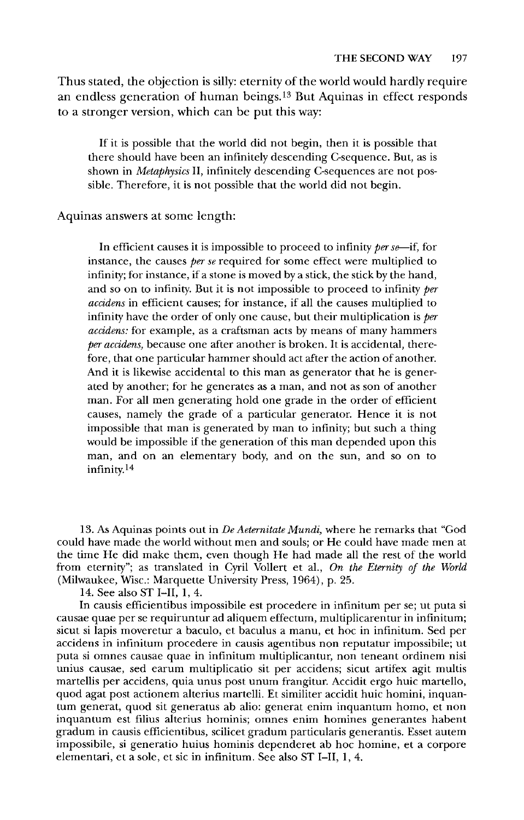Thus stated, the objection is silly: eternity of the world would hardly require an endless generation of human beings.<sup>13</sup> But Aquinas in effect responds to a stronger version, which can be put this way:

If it is possible that the world did not begin, then it is possible that there should have been an infinitely descending C-sequence. But, as is shown in *Metaphysics* II, infinitely descending C-sequences are not possible. Therefore, it is not possible that the world did not begin.

#### Aquinas answers at some length:

In efficient causes it is impossible to proceed to infinity *per se*—if, for instance, the causes *per se* required for some effect were multiplied to infinity; for instance, if a stone is moved by a stick, the stick by the hand, and so on to infinity. But it is not impossible to proceed to infinity *per accidens* in efficient causes; for instance, if all the causes multiplied to infinity have the order of only one cause, but their multiplication is *per accidens:* for example, as a craftsman acts by means of many hammers *per accidens,* because one after another is broken. It is accidental, therefore, that one particular hammer should act after the action of another. And it is likewise accidental to this man as generator that he is generated by another; for he generates as a man, and not as son of another man. For all men generating hold one grade in the order of efficient causes, namely the grade of a particular generator. Hence it is not impossible that man is generated by man to infinity; but such a thing would be impossible if the generation of this man depended upon this man, and on an elementary body, and on the sun, and so on to infinity.<sup>14</sup>

13. As Aquinas points out in *De Aeternitate Mundi,* where he remarks that "God could have made the world without men and souls; or He could have made men at the time He did make them, even though He had made all the rest of the world from eternity"; as translated in Cyril Vollert et al., *On the Eternity of the World* (Milwaukee, Wise: Marquette University Press, 1964), p. 25.

14. See also ST I—II, 1, 4.

In causis efficientibus impossibile est procedere in infinitum per se; ut puta si causae quae per se requiruntur ad aliquem effectum, multiplicarentur in infinitum; sicut si lapis moveretur a baculo, et baculus a manu, et hoc in infinitum. Sed per accidens in infinitum procedere in causis agentibus non reputatur impossibile; ut puta si omnes causae quae in infinitum multiplicantur, non teneant ordinem nisi unius causae, sed earum multiplicatio sit per accidens; sicut artifex agit multis martellis per accidens, quia unus post unum frangitur. Accidit ergo huic martello, quod agat post actionem alterius martelli. Et similiter accidit huic homini, inquantum generat, quod sit generatus ab alio: generat enim inquantum homo, et non inquantum est filius alterius hominis; omnes enim homines generantes habent gradum in causis efficientibus, scilicet gradum particularis generantis. Esset autem impossibile, si generatio huius hominis dependeret ab hoc homine, et a corpore elementari, et a sole, et sic in infinitum. See also ST I—II, 1, 4.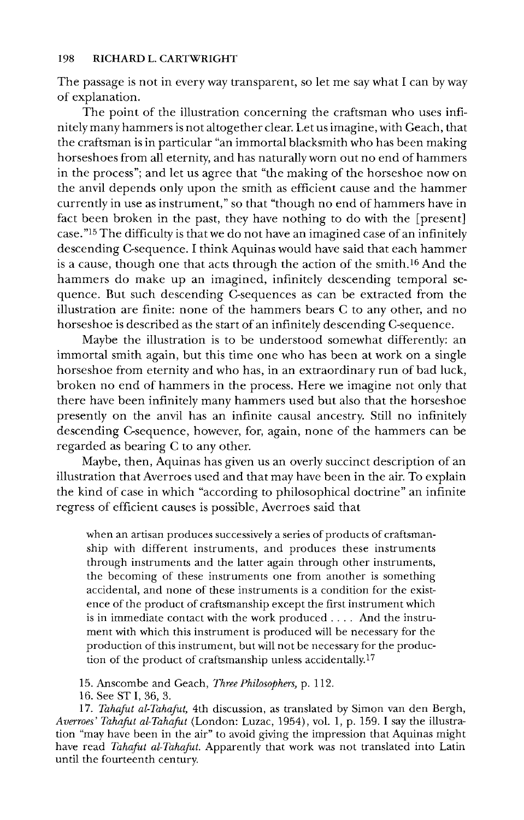The passage is not in every way transparent, so let me say what I can by way of explanation.

The point of the illustration concerning the craftsman who uses infinitely many hammers is not altogether clear. Let us imagine, with Geach, that the craftsman is in particular "an immortal blacksmith who has been making horseshoes from all eternity, and has naturally worn out no end of hammers in the process"; and let us agree that "the making of the horseshoe now on the anvil depends only upon the smith as efficient cause and the hammer currently in use as instrument," so that "though no end of hammers have in fact been broken in the past, they have nothing to do with the [present] case."<sup>15</sup> The difficulty is that we do not have an imagined case of an infinitely descending C-sequence. I think Aquinas would have said that each hammer is a cause, though one that acts through the action of the smith.<sup>16</sup> And the hammers do make up an imagined, infinitely descending temporal sequence. But such descending C-sequences as can be extracted from the illustration are finite: none of the hammers bears C to any other, and no horseshoe is described as the start of an infinitely descending C-sequence.

Maybe the illustration is to be understood somewhat differently: an immortal smith again, but this time one who has been at work on a single horseshoe from eternity and who has, in an extraordinary run of bad luck, broken no end of hammers in the process. Here we imagine not only that there have been infinitely many hammers used but also that the horseshoe presently on the anvil has an infinite causal ancestry. Still no infinitely descending C-sequence, however, for, again, none of the hammers can be regarded as bearing C to any other.

Maybe, then, Aquinas has given us an overly succinct description of an illustration that Averroes used and that may have been in the air. To explain the kind of case in which "according to philosophical doctrine" an infinite regress of efficient causes is possible, Averroes said that

when an artisan produces successively a series of products of craftsmanship with different instruments, and produces these instruments through instruments and the latter again through other instruments, the becoming of these instruments one from another is something accidental, and none of these instruments is a condition for the existence of the product of craftsmanship except the first instrument which is in immediate contact with the work produced ... . And the instrument with which this instrument is produced will be necessary for the production of this instrument, but will not be necessary for the production of the product of craftsmanship unless accidentally.<sup>17</sup>

15. Anscombe and Geach, *Three Philosophers,* p. 112.

16. See ST I, 36, 3.

17. *Tahafut al-Tahafat,* 4th discussion, as translated by Simon van den Bergh, *Averroes' Tahafut al-Tahafat* (London: Luzac, 1954), vol. 1, p. 159. I say the illustration "may have been in the air" to avoid giving the impression that Aquinas might have read *Tahafut al-Tahafat.* Apparently that work was not translated into Latin until the fourteenth century.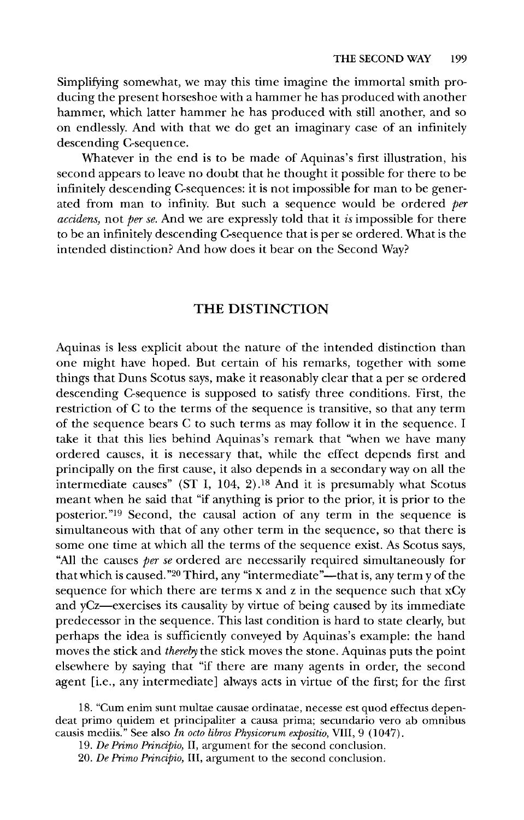Simplifying somewhat, we may this time imagine the immortal smith pro ducing the present horseshoe with a hammer he has produced with another hammer, which latter hammer he has produced with still another, and so on endlessly. And with that we do get an imaginary case of an infinitely descending C-sequence.

Whatever in the end is to be made of Aquinas's first illustration, his second appears to leave no doubt that he thought it possible for there to be infinitely descending C-sequences: it is not impossible for man to be gener ated from man to infinity. But such a sequence would be ordered *per accidens,* not *per se.* And we are expressly told that it *is* impossible for there to be an infinitely descending C-sequence that is per se ordered. What is the intended distinction? And how does it bear on the Second Way?

## THE DISTINCTION

Aquinas is less explicit about the nature of the intended distinction than one might have hoped. But certain of his remarks, together with some things that Duns Scotus says, make it reasonably clear that a per se ordered descending C-sequence is supposed to satisfy three conditions. First, the restriction of C to the terms of the sequence is transitive, so that any term of the sequence bears C to such terms as may follow it in the sequence. I take it that this lies behind Aquinas's remark that "when we have many ordered causes, it is necessary that, while the effect depends first and principally on the first cause, it also depends in a secondary way on all the intermediate causes" (ST I, 104, 2).<sup>18</sup> And it is presumably what Scotus meant when he said that "if anything is prior to the prior, it is prior to the posterior."<sup>19</sup> Second, the causal action of any term in the sequence is simultaneous with that of any other term in the sequence, so that there is some one time at which all the terms of the sequence exist. As Scotus says, "All the causes *per se* ordered are necessarily required simultaneously for that which is caused."<sup>20</sup> Third, any "intermediate"—that is, any term y of the sequence for which there are terms x and z in the sequence such that xCy and yCz—exercises its causality by virtue of being caused by its immediate predecessor in the sequence. This last condition is hard to state clearly, but perhaps the idea is sufficiently conveyed by Aquinas's example: the hand moves the stick and *thereby* the stick moves the stone. Aquinas puts the point elsewhere by saying that "if there are many agents in order, the second agent [i.e., any intermediate] always acts in virtue of the first; for the first

19. De Primo Principio, II, argument for the second conclusion.

20. *De Pήmo Pήncipio,* III, argument to the second conclusion.

<sup>18. &</sup>quot;Cum enim sunt multae causae ordinatae, necesse est quod effectus depen deat primo quidem et principaliter a causa prima; secundario vero ab omnibus causis mediis." See also *In octo libros Physicorum expositio,* VIII, 9 (1047).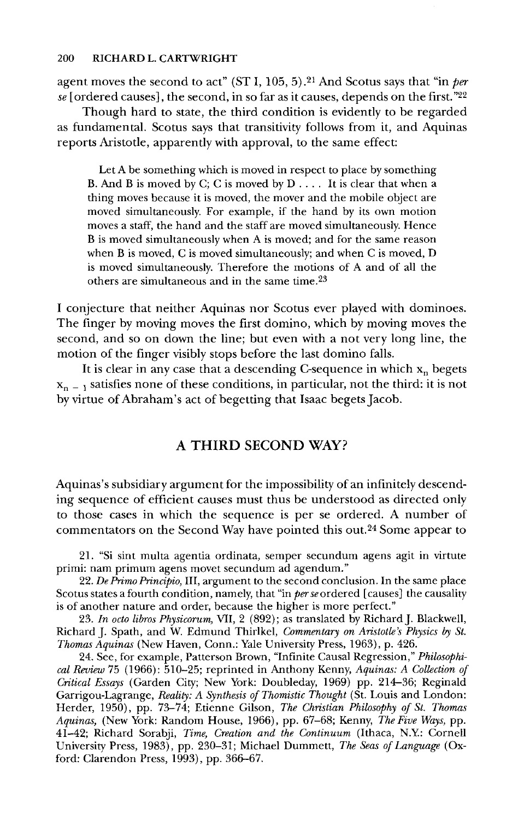#### 200 RICHARD L. CARTWRIGHT

agent moves the second to act" (ST I, 105, 5).<sup>21</sup> And Scotus says that "in *per se* [ordered causes], the second, in so far as it causes, depends on the first."<sup>22</sup>

Though hard to state, the third condition is evidently to be regarded as fundamental. Scotus says that transitivity follows from it, and Aquinas reports Aristotle, apparently with approval, to the same effect:

Let A be something which is moved in respect to place by something B. And B is moved by C; C is moved by  $D \ldots$  It is clear that when a thing moves because it is moved, the mover and the mobile object are moved simultaneously. For example, if the hand by its own motion moves a staff, the hand and the staff are moved simultaneously. Hence B is moved simultaneously when A is moved; and for the same reason when B is moved, C is moved simultaneously; and when C is moved, D is moved simultaneously. Therefore the motions of A and of all the others are simultaneous and in the same time.<sup>23</sup>

I conjecture that neither Aquinas nor Scotus ever played with dominoes. The finger by moving moves the first domino, which by moving moves the second, and so on down the line; but even with a not very long line, the motion of the finger visibly stops before the last domino falls.

It is clear in any case that a descending C-sequence in which  $\mathbf{x}_{\rm{n}}$  begets xn \_ *i* satisfies none of these conditions, in particular, not the third: it is not by virtue of Abraham's act of begetting that Isaac begets Jacob.

## A THIRD SECOND WAY?

Aquinas's subsidiary argument for the impossibility of an infinitely descend ing sequence of efficient causes must thus be understood as directed only to those cases in which the sequence is per se ordered. A number of commentators on the Second Way have pointed this out. $24$  Some appear to

21. "Si sint multa agentia ordinata, semper secundum agens agit in virtute primi: nam primum agens movet secundum ad agendum."

22. De Primo Principio, III, argument to the second conclusion. In the same place Scotus states a fourth condition, namely, that "in *perse* ordered [causes] the causality is of another nature and order, because the higher is more perfect."

23. *In octo libros Physicorum,* VII, 2 (892); as translated by Richard J. Blackwell, Richard J. Spath, and W. Edmund Thirlkel, *Commentary on Aristotle's Physics by St. Thomas Aquinas* (New Haven, Conn.: Yale University Press, 1963), p. 426.

24. See, for example, Patterson Brown, "Infinite Causal Regression," *Philosophical Review* 75 (1966): 510-25; reprinted in Anthony Kenny, *Aquinas: A Collection of Cήtical Essays* (Garden City; New York: Doubleday, 1969) pp. 214-36; Reginald Garrigou-Lagrange, *Reality: A Synthesis ofThomistic Thought* (St. Louis and London: Herder, 1950), pp. 73-74; Etienne Gilson, *The Christian Philosophy of St. Thomas Aquinas,* (New York: Random House, 1966), pp. 67-68; Kenny, *The Five Ways,* pp. 41-42; Richard Sorabji, *Time, Creation and the Continuum* (Ithaca, N.Y.: Cornell University Press, 1983), pp. 230-31; Michael Dummett, *The Seas of Language* (Ox ford: Clarendon Press, 1993), pp. 366-67.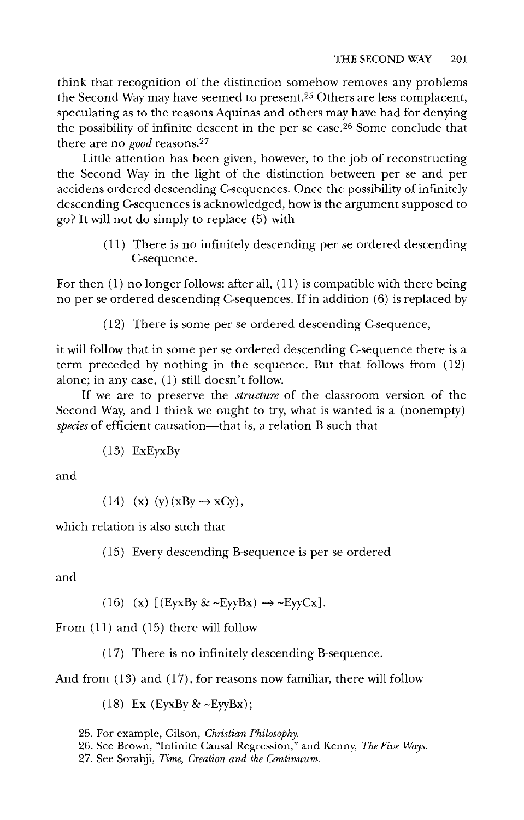think that recognition of the distinction somehow removes any problems the Second Way may have seemed to present.<sup>25</sup> Others are less complacent, speculating as to the reasons Aquinas and others may have had for denying the possibility of infinite descent in the per se case.<sup>26</sup> Some conclude that there are no *good* reasons.<sup>27</sup>

Little attention has been given, however, to the job of reconstructing the Second Way in the light of the distinction between per se and per accidens ordered descending C-sequences. Once the possibility of infinitely descending C-sequences is acknowledged, how is the argument supposed to go? It will not do simply to replace (5) with

> (11) There is no infinitely descending per se ordered descending C-sequence.

For then (1) no longer follows: after all, (11) is compatible with there being no per se ordered descending C-sequences. If in addition (6) is replaced by

(12) There is some per se ordered descending C-sequence,

it will follow that in some per se ordered descending C-sequence there is a term preceded by nothing in the sequence. But that follows from (12) alone; in any case, (1) still doesn't follow.

If we are to preserve the *structure* of the classroom version of the Second Way, and I think we ought to try, what is wanted is a (nonempty) *species* of efficient causation—that is, a relation B such that

(13) ExEyxBy

and

(14) (x) (y)(xBy  $\rightarrow$  xCy),

which relation is also such that

(15) Every descending B-sequence is per se ordered

and

(16) (x)  $[(EyxBy & ExyBx) \rightarrow ExyCx].$ 

From (11) and (15) there will follow

(17) There is no infinitely descending B-sequence.

And from (13) and (17), for reasons now familiar, there will follow

(18) Ex (EyxBy &  $\sim$ EyyBx);

25. For example, Gilson, *Christian Philosophy.*

- 26. See Brown, "Infinite Causal Regression," and Kenny, *The Five Ways.*
- 27. See Sorabji, *Time, Creation and the Continuum.*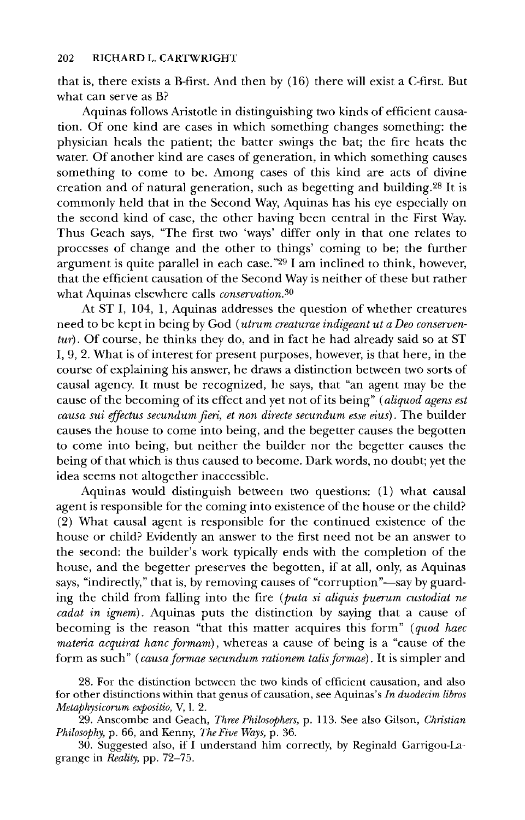that is, there exists a B-first. And then by (16) there will exist a C-first. But what can serve as B?

Aquinas follows Aristotle in distinguishing two kinds of efficient causa tion. Of one kind are cases in which something changes something: the physician heals the patient; the batter swings the bat; the fire heats the water. Of another kind are cases of generation, in which something causes something to come to be. Among cases of this kind are acts of divine creation and of natural generation, such as begetting and building.<sup>28</sup> It is commonly held that in the Second Way, Aquinas has his eye especially on the second kind of case, the other having been central in the First Way. Thus Geach says, "The first two 'ways' differ only in that one relates to processes of change and the other to things' coming to be; the further argument is quite parallel in each case."<sup>29</sup> I am inclined to think, however, that the efficient causation of the Second Way is neither of these but rather what Aquinas elsewhere calls *conservation.^*

At ST I, 104, 1, Aquinas addresses the question of whether creatures need to be kept in being by God (utrum creaturae indigeant ut a Deo conserven*tur)*. Of course, he thinks they do, and in fact he had already said so at ST I, 9, 2. What is of interest for present purposes, however, is that here, in the course of explaining his answer, he draws a distinction between two sorts of causal agency. It must be recognized, he says, that "an agent may be the cause of the becoming of its effect and yet not of its being" *(aίiquod agens est causa sui effectus secundum fieri, et non directe secundum esse eius).* The builder causes the house to come into being, and the begetter causes the begotten to come into being, but neither the builder nor the begetter causes the being of that which is thus caused to become. Dark words, no doubt; yet the idea seems not altogether inaccessible.

Aquinas would distinguish between two questions: (1) what causal agent is responsible for the coming into existence of the house or the child? (2) What causal agent is responsible for the continued existence of the house or child? Evidently an answer to the first need not be an answer to the second: the builder's work typically ends with the completion of the house, and the begetter preserves the begotten, if at all, only, as Aquinas says, "indirectly," that is, by removing causes of "corruption"—say by guarding the child from falling into the fire *{puta si aliquis puerum custodial ne cadat in ignem).* Aquinas puts the distinction by saying that a cause of becoming is the reason "that this matter acquires this form" *{quod haec materia acquirat hanc formam*), whereas a cause of being is a "cause of the form as such" *{causa formae secundum rationem talis formae)*. It is simpler and

28. For the distinction between the two kinds of efficient causation, and also for other distinctions within that genus of causation, see Aquinas's *In duodecim libros Metaphysicorum expositio,* V, 1. 2.

29. Anscombe and Geach, *Three Philosophers,* p. 113. See also Gilson, *Chήstian Philosophy,* p. 66, and Kenny, *The Five Ways,* p. 36.

30. Suggested also, if I understand him correctly, by Reginald Garrigou-La grange in *Reality,* pp. 72-75.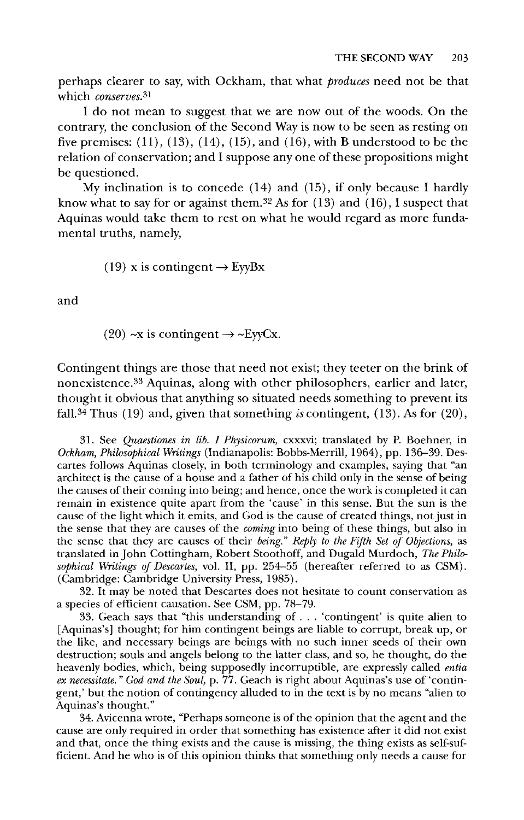perhaps clearer to say, with Ockham, that what *produces* need not be that which *conserves. 31*

I do not mean to suggest that we are now out of the woods. On the contrary, the conclusion of the Second Way is now to be seen as resting on five premises:  $(11)$ ,  $(13)$ ,  $(14)$ ,  $(15)$ , and  $(16)$ , with B understood to be the relation of conservation; and I suppose any one of these propositions might be questioned.

My inclination is to concede (14) and (15), if only because I hardly know what to say for or against them.<sup>32</sup> As for  $(13)$  and  $(16)$ , I suspect that Aquinas would take them to rest on what he would regard as more funda mental truths, namely,

(19) x is contingent  $\rightarrow$  EyyBx

and

(20)  $\sim$ x is contingent  $\rightarrow \sim$ EyyCx.

Contingent things are those that need not exist; they teeter on the brink of nonexistence.<sup>33</sup> Aquinas, along with other philosophers, earlier and later, thought it obvious that anything so situated needs something to prevent its fall.<sup>34</sup> Thus (19) and, given that something is contingent, (13). As for (20),

31. See *Quaestiones in lib. I Physicorum,* cxxxvi; translated by P. Boehner, in *Ockham, Philosophical Writings* (Indianapolis: Bobbs-Merrill, 1964), pp. 136-39. Des cartes follows Aquinas closely, in both terminology and examples, saying that "an architect is the cause of a house and a father of his child only in the sense of being the causes of their coming into being; and hence, once the work is completed it can remain in existence quite apart from the 'cause' in this sense. But the sun is the cause of the light which it emits, and God is the cause of created things, not just in the sense that they are causes of the *coming* into being of these things, but also in the sense that they are causes of their *being." Reply to the Fifth Set of Objections,* as translated in John Cottingham, Robert Stoothoff, and Dugald Murdoch, *The Philosophical Wήtings of Descartes,* vol. II, pp. 254-55 (hereafter referred to as CSM). (Cambridge: Cambridge University Press, 1985).

32. It may be noted that Descartes does not hesitate to count conservation as a species of efficient causation. See CSM, pp. 78-79.

33. Geach says that "this understanding of .. . 'contingent' is quite alien to [Aquinas's] thought; for him contingent beings are liable to corrupt, break up, or the like, and necessary beings are beings with no such inner seeds of their own destruction; souls and angels belong to the latter class, and so, he thought, do the heavenly bodies, which, being supposedly incorruptible, are expressly called *entia ex necessitate." God and the Soul, p. 77.* Geach is right about Aquinas's use of 'contin gent,' but the notion of contingency alluded to in the text is by no means "alien to Aquinas's thought."

34. Avicenna wrote, "Perhaps someone is of the opinion that the agent and the cause are only required in order that something has existence after it did not exist and that, once the thing exists and the cause is missing, the thing exists as self-suf ficient. And he who is of this opinion thinks that something only needs a cause for